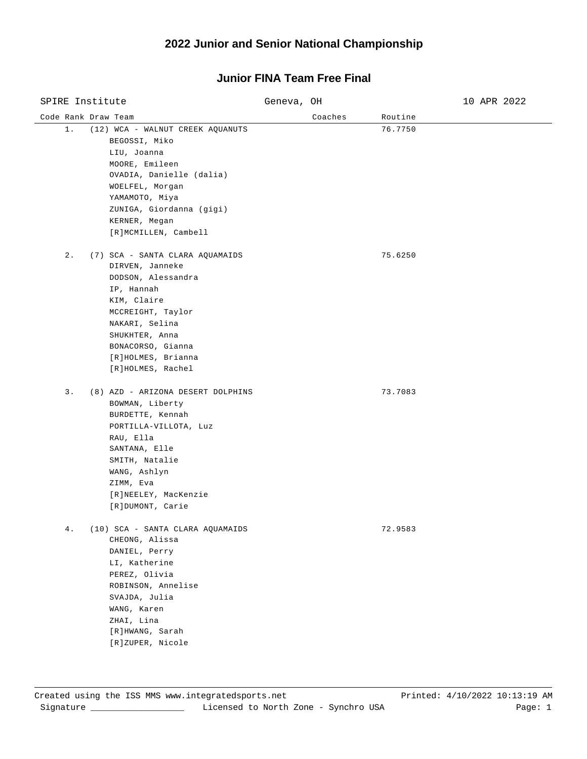### **2022 Junior and Senior National Championship**

#### Code Rank Draw Team and Coaches Routine Routine Routine SPIRE Institute Geneva, OH 5 Genevariate Constanting Constanting Constanting Constanting Constanting Constanting Constanting Constanting Constanting Constanting Constanting Constanting Constanting Constanting Constanting C 1. (12) WCA - WALNUT CREEK AQUANUTS 76.7750 BEGOSSI, Miko LIU, Joanna MOORE, Emileen OVADIA, Danielle (dalia) WOELFEL, Morgan YAMAMOTO, Miya ZUNIGA, Giordanna (gigi) KERNER, Megan [R]MCMILLEN, Cambell 2. (7) SCA - SANTA CLARA AQUAMAIDS 75.6250 DIRVEN, Janneke DODSON, Alessandra IP, Hannah KIM, Claire MCCREIGHT, Taylor NAKARI, Selina SHUKHTER, Anna BONACORSO, Gianna [R]HOLMES, Brianna [R]HOLMES, Rachel 3. (8) AZD - ARIZONA DESERT DOLPHINS 73.7083 BOWMAN, Liberty BURDETTE, Kennah PORTILLA-VILLOTA, Luz RAU, Ella SANTANA, Elle SMITH, Natalie WANG, Ashlyn ZIMM, Eva [R]NEELEY, MacKenzie [R]DUMONT, Carie 4. (10) SCA - SANTA CLARA AQUAMAIDS 72.9583 CHEONG, Alissa DANIEL, Perry LI, Katherine PEREZ, Olivia ROBINSON, Annelise SVAJDA, Julia WANG, Karen ZHAI, Lina [R]HWANG, Sarah [R]ZUPER, Nicole

## **Junior FINA Team Free Final**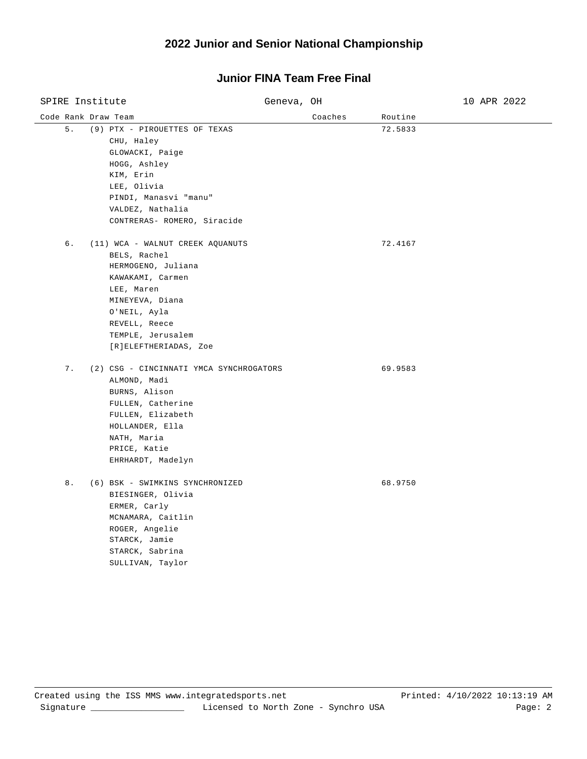### **2022 Junior and Senior National Championship**

### Code Rank Draw Team and Coaches Routine Routine Routine SPIRE Institute Geneva, OH 5 Genevariate Constanting Constanting Constanting Constanting Constanting Constanting Constanting Constanting Constanting Constanting Constanting Constanting Constanting Constanting Constanting C 5. (9) PTX - PIROUETTES OF TEXAS 72.5833 CHU, Haley GLOWACKI, Paige HOGG, Ashley KIM, Erin LEE, Olivia PINDI, Manasvi "manu" VALDEZ, Nathalia CONTRERAS- ROMERO, Siracide 6. (11) WCA - WALNUT CREEK AQUANUTS 72.4167 BELS, Rachel HERMOGENO, Juliana KAWAKAMI, Carmen LEE, Maren MINEYEVA, Diana O'NEIL, Ayla REVELL, Reece TEMPLE, Jerusalem [R]ELEFTHERIADAS, Zoe 7. (2) CSG - CINCINNATI YMCA SYNCHROGATORS 69.9583 ALMOND, Madi BURNS, Alison FULLEN, Catherine FULLEN, Elizabeth HOLLANDER, Ella NATH, Maria PRICE, Katie EHRHARDT, Madelyn 8. (6) BSK - SWIMKINS SYNCHRONIZED 68.9750 BIESINGER, Olivia ERMER, Carly MCNAMARA, Caitlin ROGER, Angelie STARCK, Jamie STARCK, Sabrina SULLIVAN, Taylor

## **Junior FINA Team Free Final**